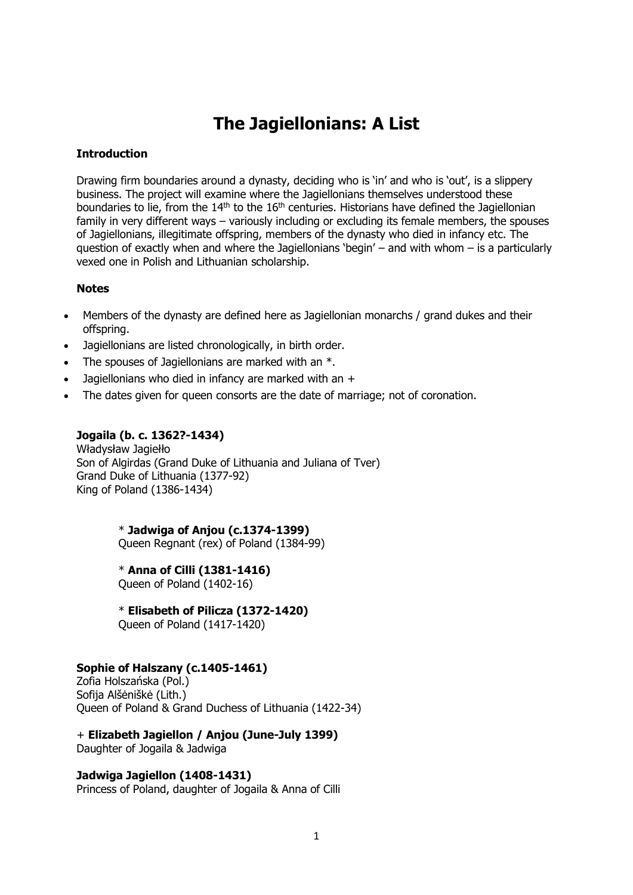# **The Jagiellonians: A List**

## **Introduction**

Drawing firm boundaries around a dynasty, deciding who is 'in' and who is 'out', is a slippery business. The project will examine where the Jagiellonians themselves understood these boundaries to lie, from the  $14<sup>th</sup>$  to the  $16<sup>th</sup>$  centuries. Historians have defined the Jagiellonian family in very different ways – variously including or excluding its female members, the spouses of Jagiellonians, illegitimate offspring, members of the dynasty who died in infancy etc. The question of exactly when and where the Jagiellonians 'begin' – and with whom  $-$  is a particularly vexed one in Polish and Lithuanian scholarship.

### **Notes**

- Members of the dynasty are defined here as Jagiellonian monarchs / grand dukes and their offspring.
- Jagiellonians are listed chronologically, in birth order.
- The spouses of Jagiellonians are marked with an  $*$ .
- Jagiellonians who died in infancy are marked with an +
- The dates given for queen consorts are the date of marriage; not of coronation.

## **Jogaila (b. c. 1362?-1434)**

Władysław Jagiełło Son of Algirdas (Grand Duke of Lithuania and Juliana of Tver) Grand Duke of Lithuania (1377-92) King of Poland (1386-1434)

> \* **Jadwiga of Anjou (c.1374-1399)** Queen Regnant (rex) of Poland (1384-99)

\* **Anna of Cilli (1381-1416)**

Queen of Poland (1402-16)

\* **Elisabeth of Pilicza (1372-1420)**

Queen of Poland (1417-1420)

### **Sophie of Halszany (c.1405-1461)**

Zofia Holszańska (Pol.) Sofija Alšėniškė (Lith.) Queen of Poland & Grand Duchess of Lithuania (1422-34)

+ **Elizabeth Jagiellon / Anjou (June-July 1399)** Daughter of Jogaila & Jadwiga

## **Jadwiga Jagiellon (1408-1431)**

Princess of Poland, daughter of Jogaila & Anna of Cilli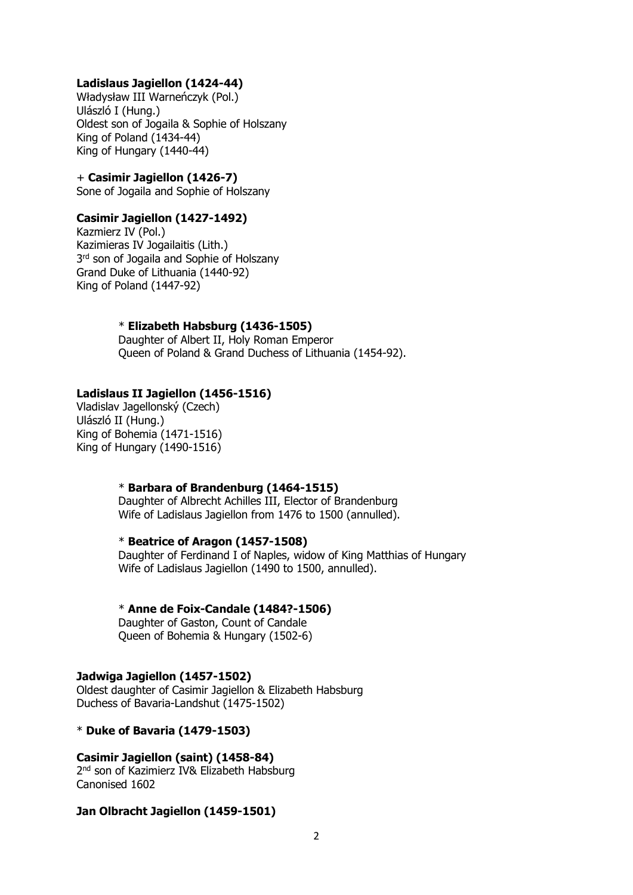## **Ladislaus Jagiellon (1424-44)**

Władysław III Warneńczyk (Pol.) Ulászló I (Hung.) Oldest son of Jogaila & Sophie of Holszany King of Poland (1434-44) King of Hungary (1440-44)

### + **Casimir Jagiellon (1426-7)**

Sone of Jogaila and Sophie of Holszany

## **Casimir Jagiellon (1427-1492)**

Kazmierz IV (Pol.) Kazimieras IV Jogailaitis (Lith.) 3<sup>rd</sup> son of Jogaila and Sophie of Holszany Grand Duke of Lithuania (1440-92) King of Poland (1447-92)

### \* **Elizabeth Habsburg (1436-1505)**

 Daughter of Albert II, Holy Roman Emperor Queen of Poland & Grand Duchess of Lithuania (1454-92).

## **Ladislaus II Jagiellon (1456-1516)**

Vladislav Jagellonský (Czech) Ulászló II (Hung.) King of Bohemia (1471-1516) King of Hungary (1490-1516)

## \* **Barbara of Brandenburg (1464-1515)**

 Daughter of Albrecht Achilles III, Elector of Brandenburg Wife of Ladislaus Jagiellon from 1476 to 1500 (annulled).

## \* **Beatrice of Aragon (1457-1508)**

 Daughter of Ferdinand I of Naples, widow of King Matthias of Hungary Wife of Ladislaus Jagiellon (1490 to 1500, annulled).

### \* **Anne de Foix-Candale (1484?-1506)**

 Daughter of Gaston, Count of Candale Queen of Bohemia & Hungary (1502-6)

### **Jadwiga Jagiellon (1457-1502)**

Oldest daughter of Casimir Jagiellon & Elizabeth Habsburg Duchess of Bavaria-Landshut (1475-1502)

### \* **Duke of Bavaria (1479-1503)**

### **Casimir Jagiellon (saint) (1458-84)**

2<sup>nd</sup> son of Kazimierz IV& Elizabeth Habsburg Canonised 1602

### **Jan Olbracht Jagiellon (1459-1501)**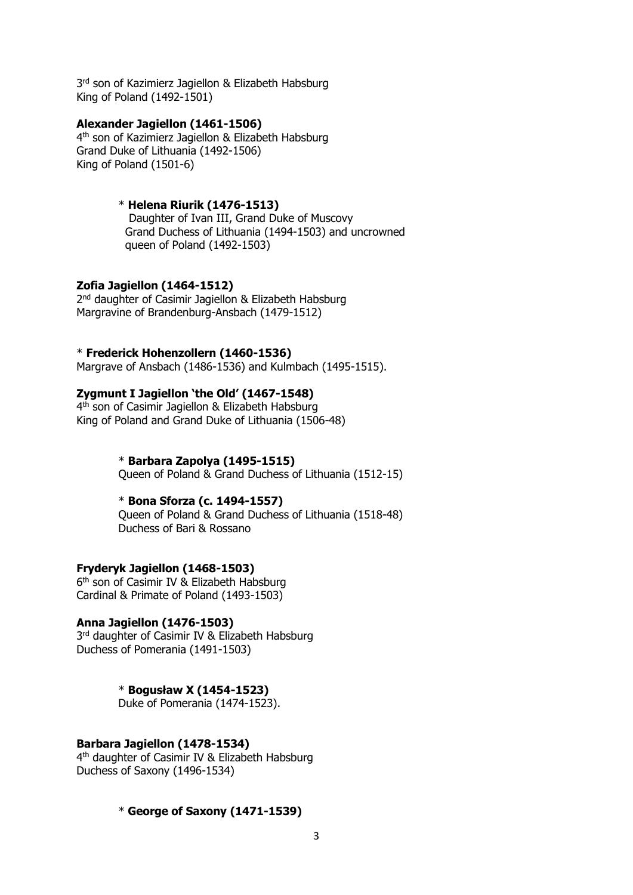3<sup>rd</sup> son of Kazimierz Jagiellon & Elizabeth Habsburg King of Poland (1492-1501)

## **Alexander Jagiellon (1461-1506)**

4<sup>th</sup> son of Kazimierz Jagiellon & Elizabeth Habsburg Grand Duke of Lithuania (1492-1506) King of Poland (1501-6)

## \* **Helena Riurik (1476-1513)**

 Daughter of Ivan III, Grand Duke of Muscovy Grand Duchess of Lithuania (1494-1503) and uncrowned queen of Poland (1492-1503)

## **Zofia Jagiellon (1464-1512)**

2<sup>nd</sup> daughter of Casimir Jagiellon & Elizabeth Habsburg Margravine of Brandenburg-Ansbach (1479-1512)

## \* **Frederick Hohenzollern (1460-1536)**

Margrave of Ansbach (1486-1536) and Kulmbach (1495-1515).

## **Zygmunt I Jagiellon 'the Old' (1467-1548)**

4<sup>th</sup> son of Casimir Jagiellon & Elizabeth Habsburg King of Poland and Grand Duke of Lithuania (1506-48)

## \* **Barbara Zapolya (1495-1515)**

Queen of Poland & Grand Duchess of Lithuania (1512-15)

### \* **Bona Sforza (c. 1494-1557)**

 Queen of Poland & Grand Duchess of Lithuania (1518-48) Duchess of Bari & Rossano

## **Fryderyk Jagiellon (1468-1503)**

6<sup>th</sup> son of Casimir IV & Elizabeth Habsburg Cardinal & Primate of Poland (1493-1503)

## **Anna Jagiellon (1476-1503)**

3<sup>rd</sup> daughter of Casimir IV & Elizabeth Habsburg Duchess of Pomerania (1491-1503)

## \* **Bogusław X (1454-1523)**

Duke of Pomerania (1474-1523).

### **Barbara Jagiellon (1478-1534)**

4<sup>th</sup> daughter of Casimir IV & Elizabeth Habsburg Duchess of Saxony (1496-1534)

### \* **George of Saxony (1471-1539)**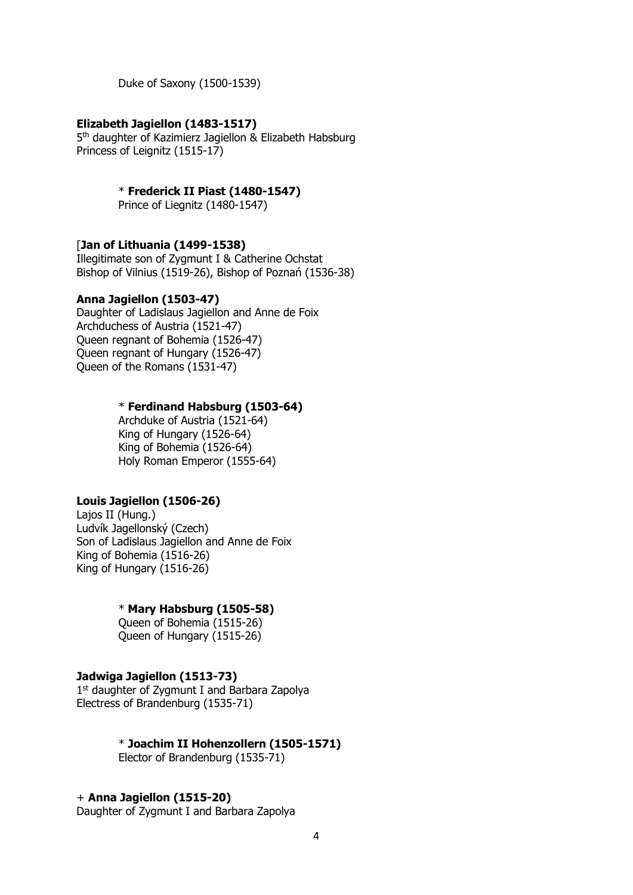Duke of Saxony (1500-1539)

## **Elizabeth Jagiellon (1483-1517)**

5<sup>th</sup> daughter of Kazimierz Jagiellon & Elizabeth Habsburg Princess of Leignitz (1515-17)

\* **Frederick II Piast (1480-1547)**

Prince of Liegnitz (1480-1547)

## [**Jan of Lithuania (1499-1538)**

Illegitimate son of Zygmunt I & Catherine Ochstat Bishop of Vilnius (1519-26), Bishop of Poznań (1536-38)

## **Anna Jagiellon (1503-47)**

Daughter of Ladislaus Jagiellon and Anne de Foix Archduchess of Austria (1521-47) Queen regnant of Bohemia (1526-47) Queen regnant of Hungary (1526-47) Queen of the Romans (1531-47)

#### \* **Ferdinand Habsburg (1503-64)**

 Archduke of Austria (1521-64) King of Hungary (1526-64) King of Bohemia (1526-64) Holy Roman Emperor (1555-64)

## **Louis Jagiellon (1506-26)**

Lajos II (Hung.) Ludvík Jagellonský (Czech) Son of Ladislaus Jagiellon and Anne de Foix King of Bohemia (1516-26) King of Hungary (1516-26)

## \* **Mary Habsburg (1505-58)**

 Queen of Bohemia (1515-26) Queen of Hungary (1515-26)

## **Jadwiga Jagiellon (1513-73)**

1<sup>st</sup> daughter of Zygmunt I and Barbara Zapolya Electress of Brandenburg (1535-71)

\* **Joachim II Hohenzollern (1505-1571)**

Elector of Brandenburg (1535-71)

#### + **Anna Jagiellon (1515-20)**

Daughter of Zygmunt I and Barbara Zapolya